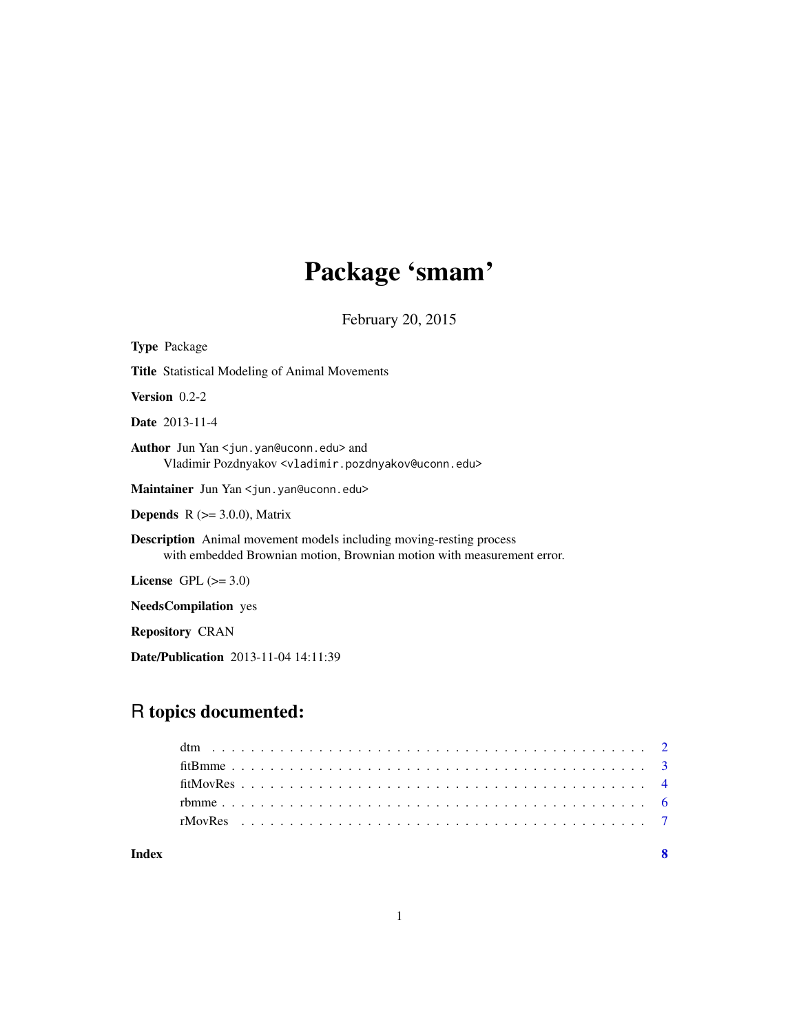## Package 'smam'

February 20, 2015

| <b>Type Package</b>                                                                                                                                  |
|------------------------------------------------------------------------------------------------------------------------------------------------------|
| <b>Title</b> Statistical Modeling of Animal Movements                                                                                                |
| <b>Version</b> $0.2-2$                                                                                                                               |
| <b>Date</b> 2013-11-4                                                                                                                                |
| Author Jun Yan <jun.yan@uconn.edu> and<br/>Vladimir Pozdnyakov <vladimir.pozdnyakov@uconn.edu></vladimir.pozdnyakov@uconn.edu></jun.yan@uconn.edu>   |
| Maintainer Jun Yan < jun. yan@uconn. edu>                                                                                                            |
| <b>Depends</b> $R$ ( $>=$ 3.0.0), Matrix                                                                                                             |
| <b>Description</b> Animal movement models including moving-resting process<br>with embedded Brownian motion, Brownian motion with measurement error. |
| License GPL $(>= 3.0)$                                                                                                                               |
| <b>NeedsCompilation</b> yes                                                                                                                          |
| <b>Repository CRAN</b>                                                                                                                               |
| <b>Date/Publication</b> 2013-11-04 14:11:39                                                                                                          |

### R topics documented:

**Index** [8](#page-7-0) **8**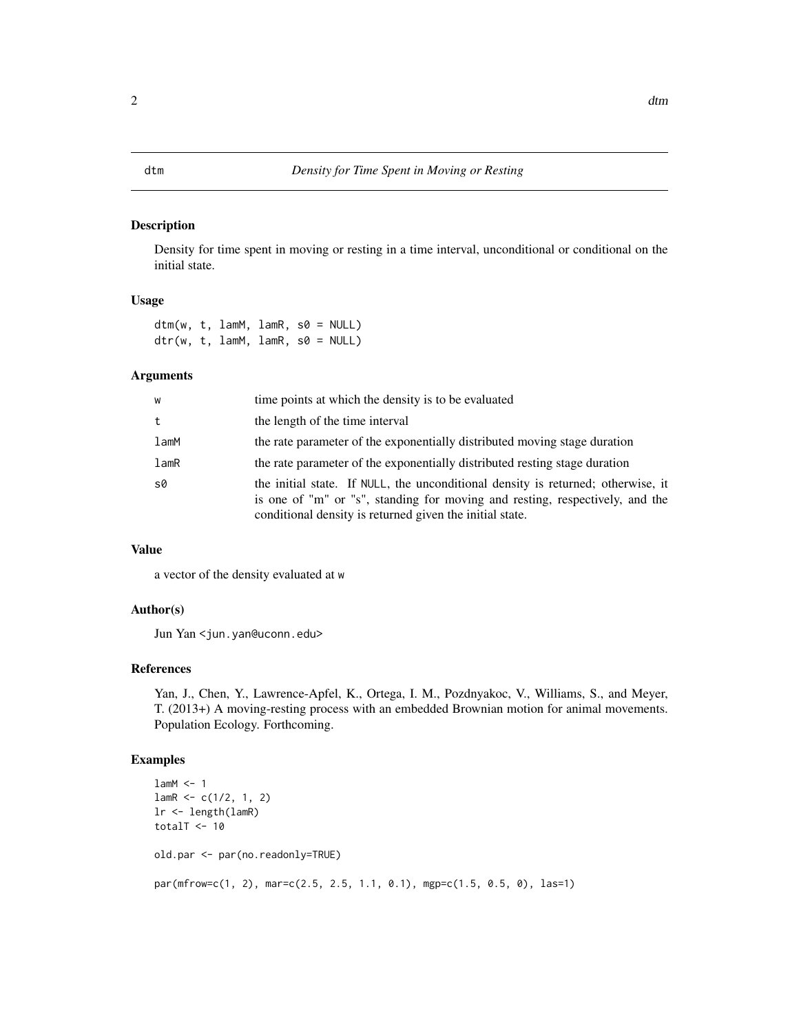#### <span id="page-1-0"></span>Description

Density for time spent in moving or resting in a time interval, unconditional or conditional on the initial state.

#### Usage

 $dtm(w, t, lamM, lamR, s0 = NULL)$  $\text{dtr}(w, t, \text{lamM}, \text{lamR}, \text{s0} = \text{NULL})$ 

#### Arguments

| W          | time points at which the density is to be evaluated                                                                                                                                                                          |
|------------|------------------------------------------------------------------------------------------------------------------------------------------------------------------------------------------------------------------------------|
| t          | the length of the time interval                                                                                                                                                                                              |
| $l$ am $M$ | the rate parameter of the exponentially distributed moving stage duration                                                                                                                                                    |
| lamR       | the rate parameter of the exponentially distributed resting stage duration                                                                                                                                                   |
| s0         | the initial state. If NULL, the unconditional density is returned; otherwise, it<br>is one of "m" or "s", standing for moving and resting, respectively, and the<br>conditional density is returned given the initial state. |

#### Value

a vector of the density evaluated at w

#### Author(s)

Jun Yan <jun.yan@uconn.edu>

### References

Yan, J., Chen, Y., Lawrence-Apfel, K., Ortega, I. M., Pozdnyakoc, V., Williams, S., and Meyer, T. (2013+) A moving-resting process with an embedded Brownian motion for animal movements. Population Ecology. Forthcoming.

```
lamM < -1lamR < -c(1/2, 1, 2)lr <- length(lamR)
totalT <-10old.par <- par(no.readonly=TRUE)
par(mfrow=c(1, 2), mar=c(2.5, 2.5, 1.1, 0.1), mgp=c(1.5, 0.5, 0), las=1)
```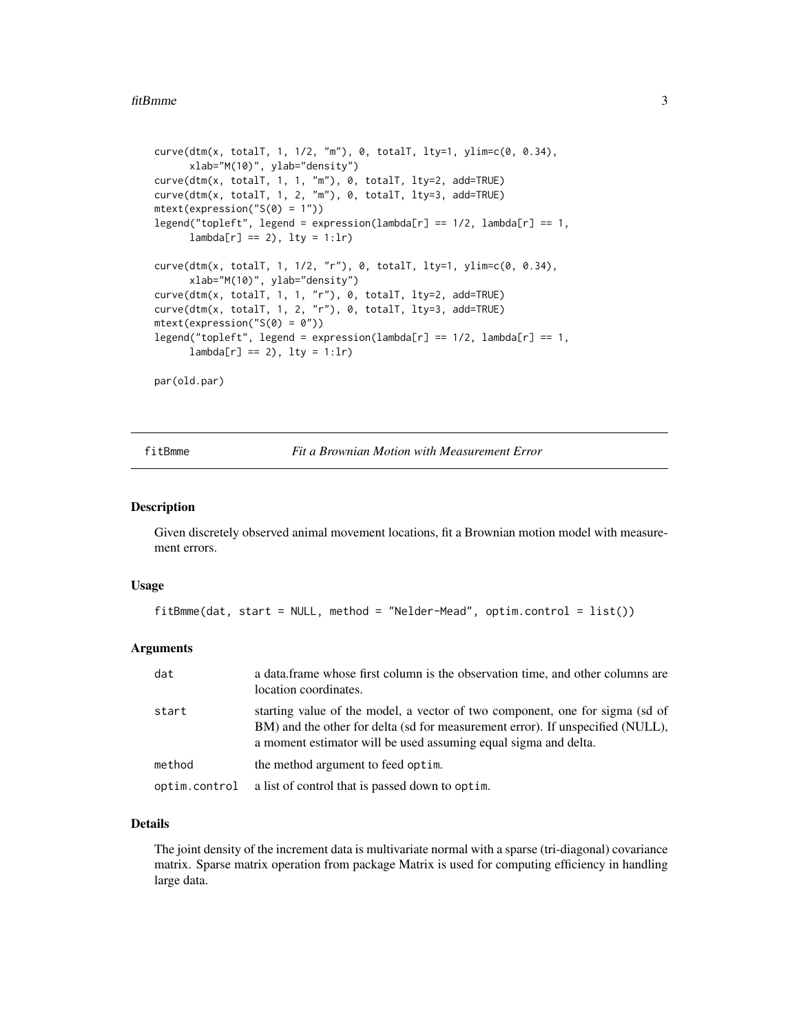#### <span id="page-2-0"></span>fitBmme 3

```
curve(dtm(x, totalT, 1, 1/2, "m"), 0, totalT, lty=1, ylim=c(0, 0.34),
     xlab="M(10)", ylab="density")
curve(dtm(x, totalT, 1, 1, "m"), 0, totalT, lty=2, add=TRUE)
curve(dtm(x, totalT, 1, 2, "m"), 0, totalT, lty=3, add=TRUE)
mtext(expression("S(0) = 1"))
legend("topleft", legend = expression(lambda[r] == 1/2, lambda[r] == 1,lambda[r] == 2), lty = 1:lr)
curve(dtm(x, totalT, 1, 1/2, "r"), 0, totalT, lty=1, ylim=c(0, 0.34),
     xlab="M(10)", ylab="density")
curve(dtm(x, totalT, 1, 1, "r"), 0, totalT, lty=2, add=TRUE)
curve(dtm(x, totalT, 1, 2, "r"), 0, totalT, lty=3, add=TRUE)
mtext{text}(expression("S(0) = 0"))legend("topleft", legend = expression(lambda[r] == 1/2, lambda[r] == 1,
     lambda[r] == 2), lty = 1:lr)
par(old.par)
```
fitBmme *Fit a Brownian Motion with Measurement Error*

#### Description

Given discretely observed animal movement locations, fit a Brownian motion model with measurement errors.

#### Usage

```
fitBmme(dat, start = NULL, method = "Nelder-Mead", optim.control = list())
```
#### **Arguments**

| dat           | a data frame whose first column is the observation time, and other columns are<br>location coordinates.                                                                                                                           |
|---------------|-----------------------------------------------------------------------------------------------------------------------------------------------------------------------------------------------------------------------------------|
| start         | starting value of the model, a vector of two component, one for sigma (sd of<br>BM) and the other for delta (sd for measurement error). If unspecified (NULL),<br>a moment estimator will be used assuming equal sigma and delta. |
| method        | the method argument to feed optim.                                                                                                                                                                                                |
| optim.control | a list of control that is passed down to optim.                                                                                                                                                                                   |

#### Details

The joint density of the increment data is multivariate normal with a sparse (tri-diagonal) covariance matrix. Sparse matrix operation from package Matrix is used for computing efficiency in handling large data.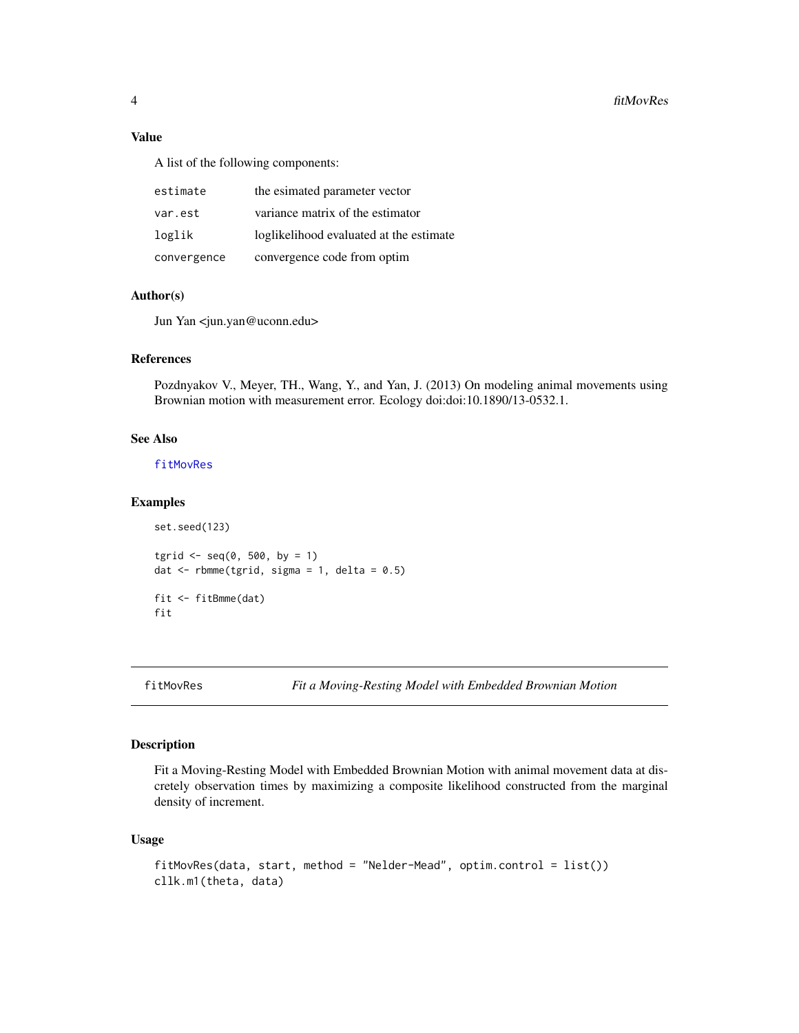#### Value

A list of the following components:

| estimate    | the esimated parameter vector           |
|-------------|-----------------------------------------|
| var.est     | variance matrix of the estimator        |
| loglik      | loglikelihood evaluated at the estimate |
| convergence | convergence code from optim             |

#### Author(s)

Jun Yan <jun.yan@uconn.edu>

#### References

Pozdnyakov V., Meyer, TH., Wang, Y., and Yan, J. (2013) On modeling animal movements using Brownian motion with measurement error. Ecology doi:doi:10.1890/13-0532.1.

#### See Also

[fitMovRes](#page-3-1)

#### Examples

```
set.seed(123)
tgrid \leq seq(0, 500, by = 1)
dat \le- rbmme(tgrid, sigma = 1, delta = 0.5)
fit <- fitBmme(dat)
fit
```
<span id="page-3-1"></span>

fitMovRes *Fit a Moving-Resting Model with Embedded Brownian Motion*

### Description

Fit a Moving-Resting Model with Embedded Brownian Motion with animal movement data at discretely observation times by maximizing a composite likelihood constructed from the marginal density of increment.

#### Usage

```
fitMovRes(data, start, method = "Nelder-Mead", optim.control = list())
cllk.m1(theta, data)
```
<span id="page-3-0"></span>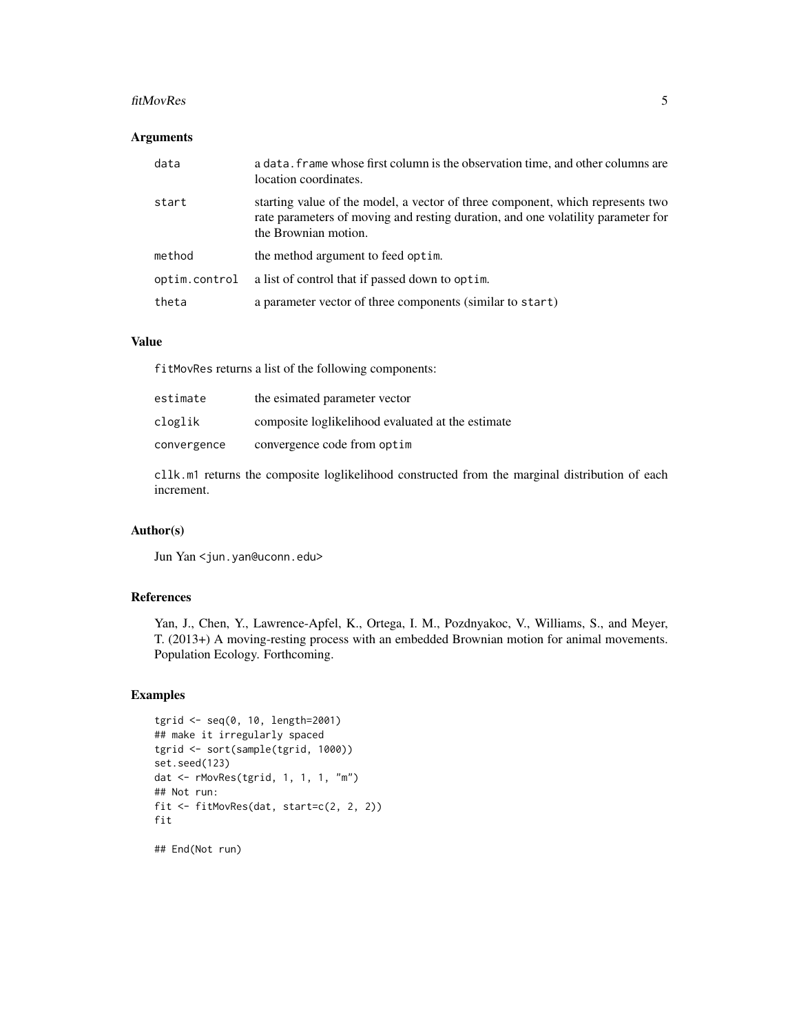#### fitMovRes 5

#### Arguments

| data          | a data. Frame whose first column is the observation time, and other columns are<br>location coordinates.                                                                                   |
|---------------|--------------------------------------------------------------------------------------------------------------------------------------------------------------------------------------------|
| start         | starting value of the model, a vector of three component, which represents two<br>rate parameters of moving and resting duration, and one volatility parameter for<br>the Brownian motion. |
| method        | the method argument to feed optim.                                                                                                                                                         |
| optim.control | a list of control that if passed down to optim.                                                                                                                                            |
| theta         | a parameter vector of three components (similar to start)                                                                                                                                  |

#### Value

fitMovRes returns a list of the following components:

| estimate    | the esimated parameter vector                     |
|-------------|---------------------------------------------------|
| cloglik     | composite loglikelihood evaluated at the estimate |
| convergence | convergence code from optim                       |

cllk.m1 returns the composite loglikelihood constructed from the marginal distribution of each increment.

#### Author(s)

Jun Yan <jun.yan@uconn.edu>

#### References

Yan, J., Chen, Y., Lawrence-Apfel, K., Ortega, I. M., Pozdnyakoc, V., Williams, S., and Meyer, T. (2013+) A moving-resting process with an embedded Brownian motion for animal movements. Population Ecology. Forthcoming.

```
tgrid <- seq(0, 10, length=2001)
## make it irregularly spaced
tgrid <- sort(sample(tgrid, 1000))
set.seed(123)
dat <- rMovRes(tgrid, 1, 1, 1, "m")
## Not run:
fit <- fitMovRes(dat, start=c(2, 2, 2))
fit
## End(Not run)
```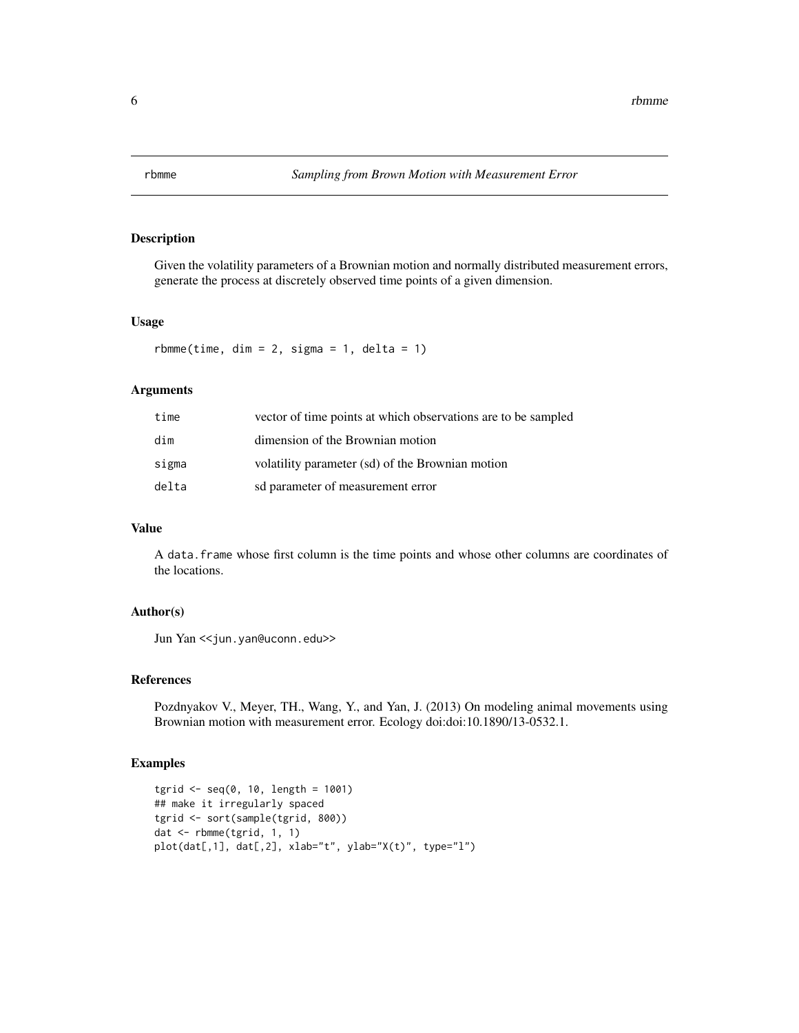<span id="page-5-0"></span>

### Description

Given the volatility parameters of a Brownian motion and normally distributed measurement errors, generate the process at discretely observed time points of a given dimension.

#### Usage

rbmme(time, dim = 2, sigma = 1, delta = 1)

#### Arguments

| time  | vector of time points at which observations are to be sampled |
|-------|---------------------------------------------------------------|
| dim   | dimension of the Brownian motion                              |
| sigma | volatility parameter (sd) of the Brownian motion              |
| delta | sd parameter of measurement error                             |

#### Value

A data.frame whose first column is the time points and whose other columns are coordinates of the locations.

#### Author(s)

Jun Yan << jun.yan@uconn.edu>>

#### References

Pozdnyakov V., Meyer, TH., Wang, Y., and Yan, J. (2013) On modeling animal movements using Brownian motion with measurement error. Ecology doi:doi:10.1890/13-0532.1.

```
tgrid <- seq(0, 10, length = 1001)
## make it irregularly spaced
tgrid <- sort(sample(tgrid, 800))
dat <- rbmme(tgrid, 1, 1)
plot(dat[,1], dat[,2], xlab="t", ylab="X(t)", type="l")
```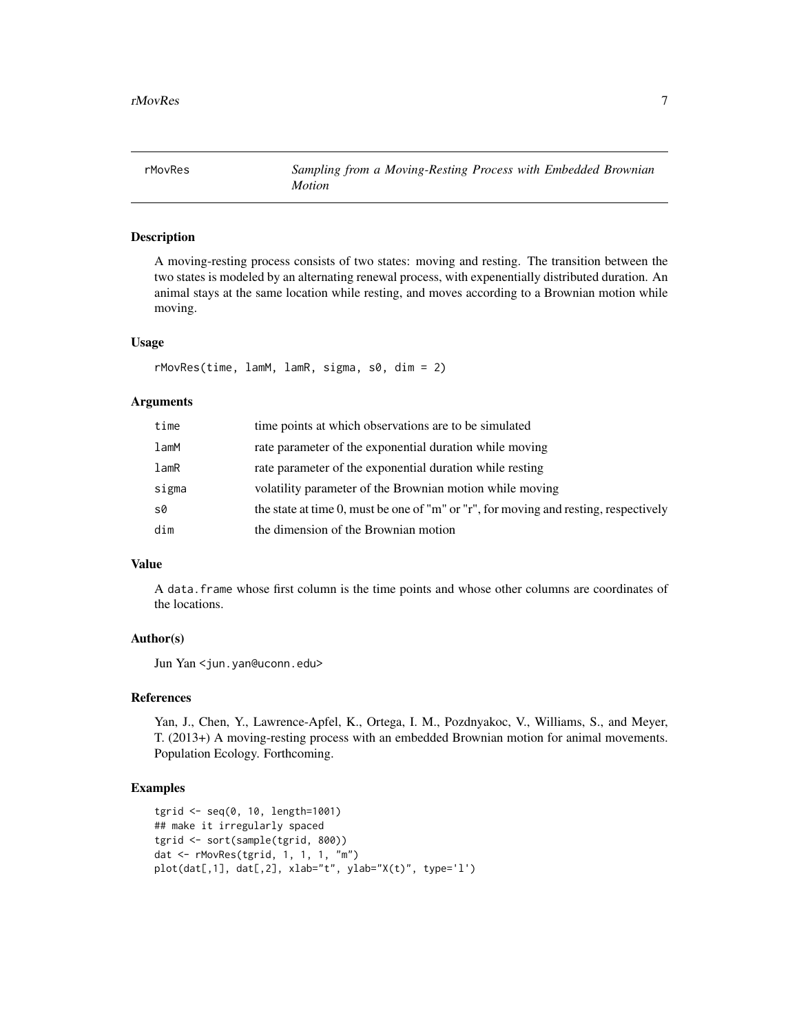<span id="page-6-0"></span>rMovRes *Sampling from a Moving-Resting Process with Embedded Brownian Motion*

#### Description

A moving-resting process consists of two states: moving and resting. The transition between the two states is modeled by an alternating renewal process, with expenentially distributed duration. An animal stays at the same location while resting, and moves according to a Brownian motion while moving.

#### Usage

rMovRes(time, lamM, lamR, sigma, s0, dim = 2)

#### Arguments

| time       | time points at which observations are to be simulated                                |
|------------|--------------------------------------------------------------------------------------|
| $l$ am $M$ | rate parameter of the exponential duration while moving                              |
| lamR       | rate parameter of the exponential duration while resting                             |
| sigma      | volatility parameter of the Brownian motion while moving                             |
| s0         | the state at time 0, must be one of "m" or "r", for moving and resting, respectively |
| dim        | the dimension of the Brownian motion                                                 |

#### Value

A data.frame whose first column is the time points and whose other columns are coordinates of the locations.

### Author(s)

Jun Yan <jun.yan@uconn.edu>

#### References

Yan, J., Chen, Y., Lawrence-Apfel, K., Ortega, I. M., Pozdnyakoc, V., Williams, S., and Meyer, T. (2013+) A moving-resting process with an embedded Brownian motion for animal movements. Population Ecology. Forthcoming.

```
tgrid <- seq(0, 10, length=1001)
## make it irregularly spaced
tgrid <- sort(sample(tgrid, 800))
dat <- rMovRes(tgrid, 1, 1, 1, "m")
plot(dat[,1], dat[,2], xlab="t", ylab="X(t)", type='l')
```